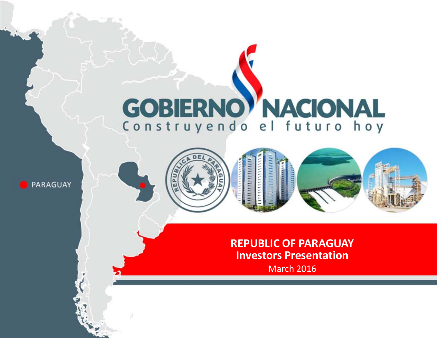# **GOBIERNO NACIONAL** Construyendo el futuro hoy

PARAGUAY







**REPUBLIC OF PARAGUAY Investors Presentation** March 2016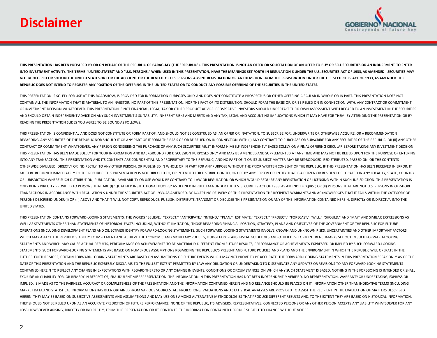# **Disclaimer**



THIS PRESENTATION HAS BEEN PREPARED BY OR ON BEHALF OF THE REPUBLIC OF PARAGUAY (THE "REPUBLIC"). THIS PRESENTATION IS NOT AN OFFER OR SOLICITATION OF AN OFFER TO BUY OR SELL SECURITIES OR AN INDUCEMENT TO ENTER INTO INVESTMENT ACTIVITY. THE TERMS "UNITED STATES" AND "U.S. PERSONS." WHEN USED IN THIS PRESENTATION. HAVE THE MEANINGS SET FORTH IN REGULATION S UNDER THE U.S. SECURITIES ACT OF 1933. AS AMENDED . SECURITIES MAY NOT BE OFFERED OR SOLD IN THE UNITED STATES OR FOR THE ACCOUNT OR THE BENEFIT OF U.S. PERSONS ABSENT REGISTRATION OR AN EXEMPTION FROM THE REGISTRATION UNDER THE U.S. SECURITIES ACT OF 1933, AS AMENDED. THE **REPUBLIC DOES NOT INTEND TO REGISTER ANY POSITION OF THE OFFERING IN THE UNITED STATES OR TO CONDUCT ANY POSSIBLE OFFERING OF THE SECURITIES IN THE UNITED STATES.** 

THIS PRESENTATION IS SOLELY FOR USE AT THIS ROADSHOW, IS PROVIDED FOR INFORMATION PURPOSES ONLY AND DOES NOT CONSTITUTE A PROSPECTUS OR OTHER OFFERING CIRCULAR IN WHOLE OR IN PART. THIS PRESENTATION DOES NOT CONTAIN ALL THE INFORMATION THAT IS MATERIAL TO AN INVESTOR. NO PART OF THIS PRESENTATION, NOR THE FACT OF ITS DISTRIBUTION, SHOULD FORM THE BASIS OF, OR BE RELIED ON IN CONNECTION WITH, ANY CONTRACT OR COMMITMENT OR INVESTMENT DECISION WHATSOEVER. THIS PRESENTATION IS NOT FINANCIAL, LEGAL, TAX OR OTHER PRODUCT ADVICE. PROSPECTIVE INVESTORS SHOULD UNDERTAKE THEIR OWN ASSESSMENT WITH REGARD TO AN INVESTMENT IN THE SECURITIES AND SHOULD OBTAIN INDEPENDENT ADVICE ON ANY SUCH INVESTMENT'S SUITABILITY, INHERENT RISKS AND MERITS AND ANY TAX, LEGAL AND ACCOUNTING IMPLICATIONS WHICH IT MAY HAVE FOR THEM. BY ATTENDING THE PRESENTATION OR BY READING THE PRESENTATION SLIDES YOU AGREE TO BE BOUND AS FOLLOWS:

THIS PRESENTATION IS CONFIDENTIAL AND DOES NOT CONSTITUTE OR FORM PART OF, AND SHOULD NOT BE CONSTRUED AS, AN OFFER OR INVITATION, TO SUBSCRIBE FOR, UNDERWRITE OR OTHERWISE ACQUIRE, OR A RECOMMENDATION REGARDING. ANY SECURITIES OF THE REPUBLIC NOR SHOULD IT OR ANY PART OF IT FORM THE BASIS OF OR BE RELIED ON IN CONNECTION WITH (I) ANY CONTRACT TO PURCHASE OR SUBSCRIBE FOR ANY SECURITIES OF THE REPUBLIC, OR (II) ANY OTHER CONTRACT OR COMMITMENT WHATSOEVER. ANY PERSON CONSIDERING THE PURCHASE OF ANY SUCH SECURITIES MUST INFORM HIMSELF INDEPENDENTLY BASED SOLELY ON A FINAL OFFERING CIRCULAR BEFORE TAKING ANY INVESTMENT DECISION. THIS PRESENTATION HAS BEEN MADE SOLELY FOR YOUR INFORMATION AND BACKGROUND FOR DISCUSSION PURPOSES ONLY AND MAY BE AMENDED AND SUPPLEMENTED AT ANY TIME AND MAY NOT BE RELIED UPON FOR THE PURPOSE OF ENTERING INTO ANY TRANSACTION. THIS PRESENTATION AND ITS CONTENTS ARE CONFIDENTIAL AND PROPRIETARY TO THE REPUBLIC, AND NO PART OF IT OR ITS SUBJECT MATTER MAY BE REPRODUCED, REDISTRIBUTED, PASSED ON, OR THE CONTENTS OTHERWISE DIVULGED, DIRECTLY OR INDIRECTLY, TO ANY OTHER PERSON, OR PUBLISHED IN WHOLE OR IN PART FOR ANY PURPOSE WITHOUT THE PRIOR WRITTEN CONSENT OF THE REPUBLIC. IF THIS PRESENTATION HAS BEEN RECEIVED IN ERROR, IT MUST BE RETURNED IMMEDIATELY TO THE REPUBLIC. THIS PRESENTATION IS NOT DIRECTED TO, OR INTENDED FOR DISTRIBUTION TO, OR USE BY ANY PERSON OR ENTITY THAT IS A CITIZEN OR RESIDENT OR LOCATED IN ANY LOCALITY, STATE, COUNTRY OR JURISDICTION WHERE SUCH DISTRIBUTION, PUBLICATION, AVAILABILITY OR USE WOULD BE CONTRARY TO LAW OR REGULATION OR WHICH WOULD REQUIRE ANY REGISTRATION OR LICENSING WITHIN SUCH JURISDICTION. THIS PRESENTATION IS ONLY BEING DIRECTLY PROVIDED TO PERSONS THAT ARE (I) "QUALIFIED INSTITUTIONAL BUYERS" AS DEFINED IN RULE 144A UNDER THE U.S. SECURITIES ACT OF 1933, AS AMENDED ("QIBS") OR (II) PERSONS THAT ARE NOT U.S. PERSONS IN OFFSHORE TRANSACTIONS IN ACCORDANCE WITH REGULATION S UNDER THE SECURITIES ACT OF 1933, AS AMENDED. BY ACCEPTING DELIVERY OF THIS PRESENTATION THE RECIPIENT WARRANTS AND ACKNOWLEDGES THAT IT FALLS WITHIN THE CATEGORY OF PERSONS DESCRIBED UNDER (II) OR (II) ABOVE AND THAT IT WILL NOT COPY, REPRODUCE, PUBLISH, DISTRIBUTE, TRANSMIT OR DISCLOSE THIS PRESENTATION OR ANY OF THE INFORMATION CONTAINED HEREIN, DIRECTLY OR INDIRECTLY, INTO THE UNITED STATES.

THIS PRESENTATION CONTAINS FORWARD-LOOKING STATEMENTS. THE WORDS "BELIEVE," "EXPECT," "ANTICIPATE," "INTEND," "PLAN,"" ESTIMATE," "EXPECT," "PROJECT," "PROJECT," "FORECAST," "WILL," "SHOULD," AND "MAY" AND SIMILAR EXPRESSI WELL AS STATEMENTS OTHER THAN STATEMENTS OF HISTORICAL FACTS INCLUDING, WITHOUT LIMITATION, THOSE REGARDING FINANCIAL POSITION, STRATEGY, PLANS AND OBJECTIVES OF THE GOVERNMENT OF THE REPUBLIC FOR FUTURE OPERATIONS (INCLUDING DEVELOPMENT PLANS AND OBJECTIVES) IDENTIFY FORWARD-LOOKING STATEMENTS. SUCH FORWARD-LOOKING STATEMENTS INVOLVE KNOWN AND UNKNOWN RISKS, UNCERTAINTIES AND OTHER IMPORTANT FACTORS WHICH MAY AFFECT THE REPUBLIC'S ABILITY TO IMPLEMENT AND ACHIEVE THE ECONOMIC AND MONETARY POLICIES, BUDGETARY PLANS, FISCAL GUIDELINES AND OTHER DEVELOPMENT BENCHMARKS SET OUT IN SUCH FORWARD-LOOKING STATEMENTS AND WHICH MAY CAUSE ACTUAL RESULTS, PERFORMANCE OR ACHIEVEMENTS TO BE MATERIALLY DIFFERENT FROM FUTURE RESULTS, PERFORMANCE OR ACHIEVEMENTS EXPRESSED OR IMPLIED BY SUCH FORWARD-LOOKING STATEMENTS. SUCH FORWARD-LOOKING STATEMENTS ARE BASED ON NUMEROUS ASSUMPTIONS REGARDING THE REPUBLIC'S PRESENT AND FUTURE POLICIES AND PLANS AND THE ENVIRONMENT IN WHICH THE REPUBLIC WILL OPERATE IN THE FUTURE. FURTHERMORE, CERTAIN FORWARD-LOOKING STATEMENTS ARE BASED ON ASSUMPTIONS OR FUTURE EVENTS WHICH MAY NOT PROVE TO BE ACCURATE. THE FORWARD-LOOKING STATEMENTS IN THIS PRESENTATION SPEAK ONLY AS OF THE DATE OF THIS PRESENTATION AND THE REPUBLIC EXPRESSLY DISCLAIMS TO THE FULLEST EXTENT PERMITTED BY LAW ANY OBLIGATION OR UNDERTAKING TO DISSEMINATE ANY UPDATES OR REVISIONS TO ANY FORWARD-LOOKING STATEMENTS CONTAINED HEREIN TO REFLECT ANY CHANGE IN EXPECTATIONS WITH REGARD THERETO OR ANY CHANGE IN EVENTS, CONDITIONS OR CIRCUMSTANCES ON WHICH ANY SUCH STATEMENT IS BASED. NOTHING IN THE FOREGOING IS INTENDED OR SHALL EXCLUDE ANY LIABILITY FOR, OR REMEDY IN RESPECT OF, FRAUDULENT MISREPRESENTATION. THE INFORMATION IN THIS PRESENTATION HAS NOT BEEN INDEPENDENTLY VERIFIED. NO REPRESENTATION, WARRANTY OR UNDERTAKING, EXPRESS OR IMPLIED, IS MADE AS TO THE FAIRNESS, ACCURACY OR COMPLETENESS OF THE PRESENTATION AND THE INFORMATION CONTAINED HEREIN AND NO RELIANCE SHOULD BE PLACED ON IT. INFORMATION OTHER THAN INDICATIVE TERMS (INCLUDING MARKET DATA AND STATISTICAL INFORMATION) HAS BEEN OBTAINED FROM VARIOUS SOURCES. ALL PROJECTIONS, VALUATIONS AND STATISTICAL ANALYSES ARE PROVIDED TO ASSIST THE RECIPIENT IN THE EVALUATION OF MATTERS DESCRIBED HEREIN. THEY MAY BE BASED ON SUBJECTIVE ASSESSMENTS AND ASSUMPTIONS AND MAY USE ONE AMONG ALTERNATIVE METHODOLOGIES THAT PRODUCE DIFFERENT RESULTS AND. TO THE EXTENT THEY ARE BASED ON HISTORICAL INFORMATION. THEY SHOULD NOT BE RELIED UPON AS AN ACCURATE PREDICTION OF FUTURE PERFORMANCE. NONE OF THE REPUBLIC, ITS ADVISERS, REPRESENTATIVES, CONNECTED PERSONS OR ANY OTHER PERSON ACCEPTS ANY LIABILITY WHATSOEVER FOR ANY LOSS HOWSOEVER ARISING, DIRECTLY OR INDIRECTLY, FROM THIS PRESENTATION OR ITS CONTENTS. THE INFORMATION CONTAINED HEREIN IS SUBJECT TO CHANGE WITHOUT NOTICE.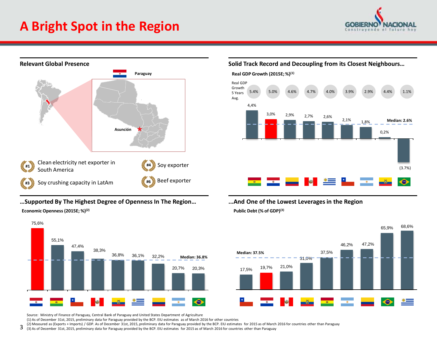# **A Bright Spot in the Region**





### **…Supported By The Highest Degree of Openness In The Region… ...And One of the Lowest Leverages in the Region Economic Openness (2015E; %)(2)**



Source: Ministry of Finance of Paraguay, Central Bank of Paraguay and United States Department of Agriculture

(1) As of December 31st, 2015, preliminary data for Paraguay provided by the BCP. EIU estimates as of March 2016 for other countries

(2) Measured as (Exports + Imports) / GDP. As of December 31st, 2015, preliminary data for Paraguay provided by the BCP. EIU estimates for 2015 as of March 2016 for countries other than Paraguay

3 (3) As of December 31st, 2015, preliminary data for Paraguay provided by the BCP. EIU estimates for 2015 as of March 2016 for countries other than Paraguay

### **Solid Track Record and Decoupling from its Closest Neighbours…**



# **Public Debt (% of GDP)(3)**

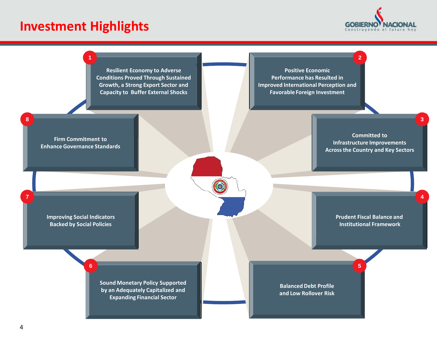# **Investment Highlights**



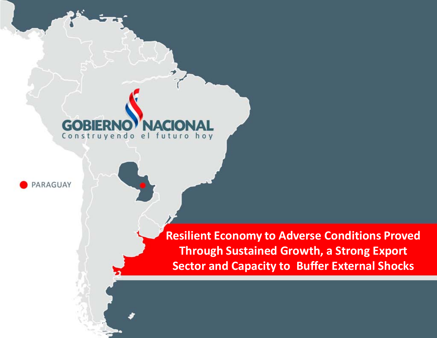# Construyendo el futuro hoy



**Resilient Economy to Adverse Conditions Proved Through Sustained Growth, a Strong Export Sector and Capacity to Buffer External Shocks**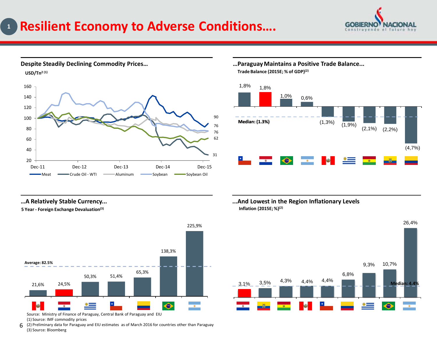### **Resilient Economy to Adverse Conditions…. 1**





**Trade Balance (2015E; % of GDP)(2)** 



**5 Year - Foreign Exchange Devaluation(3)**



Source: Ministry of Finance of Paraguay, Central Bank of Paraguay and EIU (1) Source: IMF commodity prices

6 (2) Preliminary data for Paraguay and EIU estimates as of March 2016 for countries other than Paraguay (3) Source: Bloomberg

**…A Relatively Stable Currency... ...And Lowest in the Region Inflationary Levels Inflation (2015E; %)(2)** 

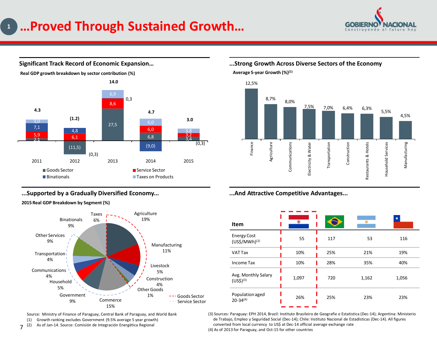# **…Proved Through Sustained Growth… 1**





### **Significant Track Record of Economic Expansion…**

### **...Supported by a Gradually Diversified Economy...**

**2015 Real GDP Breakdown by Segment (%)**



Source: Ministry of Finance of Paraguay, Central Bank of Paraguay, and World Bank

(1) Growth ranking excludes Government (9.5% average 5 year growth)

 $7^{(2)}$ As of Jan-14. Source: Comisión de Integración Energética Regional

### **...Strong Growth Across Diverse Sectors of the Economy Average 5-year Growth (%)(1)**



**...And Attractive Competitive Advantages...**

| <b>Item</b>                                     |       |     |       |       |
|-------------------------------------------------|-------|-----|-------|-------|
| <b>Energy Cost</b><br>(US\$/MWh) <sup>(2)</sup> | 55    | 117 | 53    | 116   |
| VAT Tax                                         | 10%   | 25% | 21%   | 19%   |
| Income Tax                                      | 10%   | 28% | 35%   | 40%   |
| Avg. Monthly Salary<br>$(US5)^{(3)}$            | 1,097 | 720 | 1,162 | 1,056 |
| Population aged<br>26%<br>$20 - 34^{(4)}$       |       | 25% | 23%   | 23%   |

(3) Sources: Paraguay: EPH 2014, Brazil: Instituto Brasileiro de Geografie e Estatistica (Dec-14); Argentina: Ministerio de Trabajo, Empleo y Seguridad Social (Dec-14); Chile: Instituto Nacional de Estadísticas (Dec-14). All figures converted from local currency to US\$ at Dec-14 official average exchange rate (4) As of 2013 for Paraguay, and Oct-15 for other countries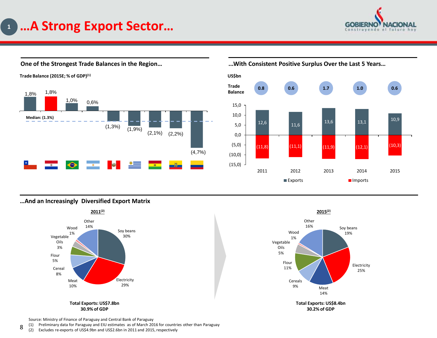



**One of the Strongest Trade Balances in the Region…**

**...With Consistent Positive Surplus Over the Last 5 Years…**



**…And an Increasingly Diversified Export Matrix**



14% Soy beans 19% Electricity Flour 11% Vegetable Oils 5% Wood 1% **Other** 16%



25%

Source: Ministry of Finance of Paraguay and Central Bank of Paraguay

8 (1) Preliminary data for Paraguay and EIU estimates as of March 2016 for countries other than Paraguay

(2) Excludes re-exports of US\$4.9bn and US\$2.6bn in 2011 and 2015, respectively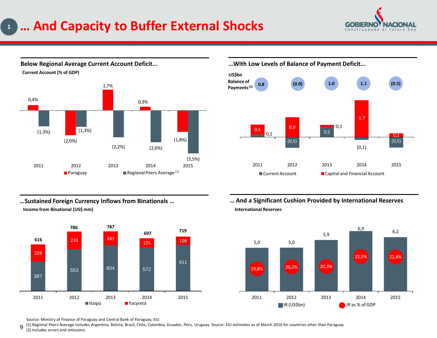# **… And Capacity to Buffer External Shocks 1**



Paraguay **Regional Peers Average** (1) **Current Account (% of GDP)** 0,4% (2,0%) 1,7% 0,3% (1,8%)  $(1,3\%)$  (1,3%) (2,2%) (2,6%) (3,5%) 2011 2012 2013 2014 2015

**Below Regional Average Current Account Deficit...**

**...With Low Levels of Balance of Payment Deficit...**



**…Sustained Foreign Currency Inflows from Binationals … Income from Binational (US\$ mm)**



**… And a Significant Cushion Provided by International Reserves International Reserves**



Source: Ministry of Finance of Paraguay and Central Bank of Paraguay, EIU

9 (1) Regional Peers Average includes Argentina, Bolivia, Brazil, Chile, Colombia, Ecuador, Peru, Uruguay. Source: EIU estimates as of March 2016 for countries other than Paraguay

(2) Includes errors and omissions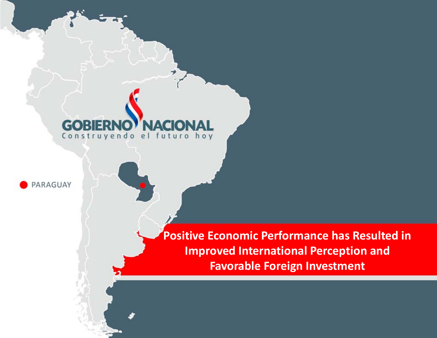## G Construyendo el futuro hoy



**Positive Economic Performance has Resulted in Improved International Perception and Favorable Foreign Investment**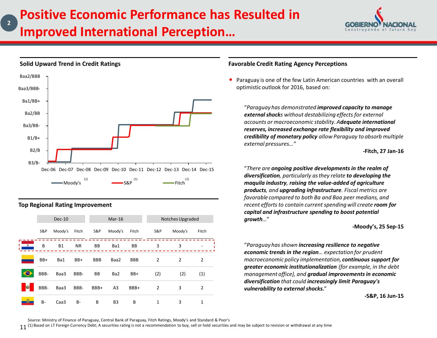

## Dec-06 Dec-07 Dec-08 Dec-09 Dec-10 Dec-11 Dec-12 Dec-13 Dec-14 Dec-15 Moody's  $\overset{(1)}{\text{mod }y}$   $\overset{(1)}{\text{mod }y}$   $\overset{(1)}{\text{mod }y}$   $\overset{(1)}{\text{mod }y}$ B3/B-B2/B B1/B+ Ba3/BB-Ba2/BB Ba1/BB+ Baa3/BBB-Baa2/BBB

### **Top Regional Rating Improvement**

**Solid Upward Trend in Credit Ratings**

**2**

|           |       | $Dec-10$  |           |            | $Mar-16$       |            |                | Notches Upgraded |                |
|-----------|-------|-----------|-----------|------------|----------------|------------|----------------|------------------|----------------|
|           | S&P   | Moody's   | Fitch     | S&P        | Moody's        | Fitch      | S&P            | Moody's          | Fitch          |
| $\bullet$ | B     | <b>B1</b> | <b>NR</b> | BB         | Ba1            | BB         | 3              | 3                |                |
|           | BB+   | Ba1       | BB+       | <b>BBB</b> | Baa2           | <b>BBB</b> | 2              | $\overline{2}$   | $\overline{2}$ |
|           | BBB-  | Baa3      | BBB-      | <b>BB</b>  | Ba2            | BB+        | (2)            | (2)              | (1)            |
| 幽         | BBB-  | Baa3      | BBB-      | BBB+       | A <sub>3</sub> | BBB+       | $\overline{2}$ | 3                | $\overline{2}$ |
| ð         | $B -$ | Caa3      | $B -$     | B          | B <sub>3</sub> | B          | 1              | 3                | 1              |

### **Favorable Credit Rating Agency Perceptions**

 Paraguay is one of the few Latin American countries with an overall optimistic outlook for 2016, based on:

"*Paraguay has demonstrated improved capacity to manage external shocks without destabilizing effects for external accounts or macroeconomic stability. Adequate international reserves, increased exchange rate flexibility and improved credibility of monetary policy allow Paraguay to absorb multiple external pressures…"* 

**-Fitch, 27 Jan-16**

"*There are ongoing positive developments in the realm of diversification, particularly as they relate to developing the maquila industry, raising the value-added of agriculture products, and upgrading infrastructure. Fiscal metrics are favorable compared to both Ba and Baa peer medians, and recent efforts to contain current spending will create room for capital and infrastructure spending to boost potential growth*…"

**-Moody's, 25 Sep-15**

"*Paraguay has shown increasing resilience to negative economic trends in the region… expectation for prudent macroeconomic policy implementation, continuous support for greater economic institutionalization (for example, in the debt management office), and gradual improvements in economic diversification that could increasingly limit Paraguay's vulnerability to external shocks.*"

**-S&P, 16 Jun-15**

Source: Ministry of Finance of Paraguay, Central Bank of Paraguay, Fitch Ratings, Moody's and Standard & Poor's

 $11$  (1) Based on LT Foreign Currency Debt; A securities rating is not a recommendation to buy, sell or hold securities and may be subject to revision or withdrawal at any time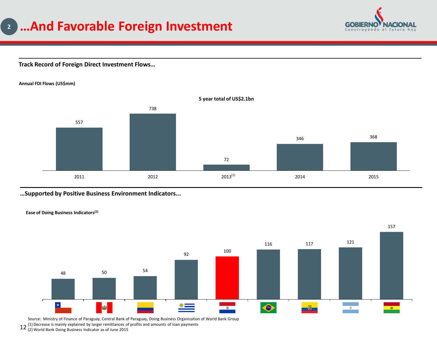# **…And Favorable Foreign Investment 2**



### **Track Record of Foreign Direct Investment Flows…**

### **Annual FDI Flows (US\$mm)**



### **…Supported by Positive Business Environment Indicators...**



 $12$  (1) Decrease is mainly explained by larger remittances of profits and amounts of loan payments<br> $12$  (2) World Bank Doing Business Indicator as of June 2015 Source: Ministry of Finance of Paraguay, Central Bank of Paraguay, Doing Business Organization of World Bank Group

(2) World Bank Doing Business Indicator as of June 2015

**Ease of Doing Business Indicators(2)**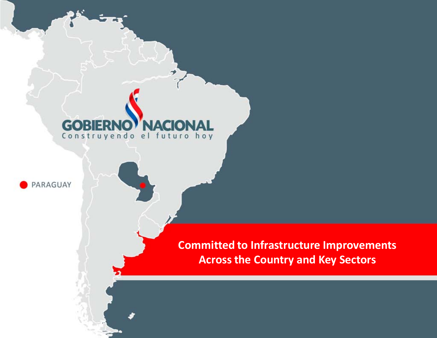### G 15 13 **IA** Construyendo el futuro hoy



**Committed to Infrastructure Improvements Across the Country and Key Sectors**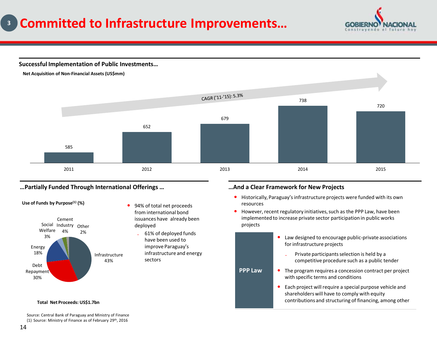### **Committed to Infrastructure Improvements… 3**

**GORIER** 

**Successful Implementation of Public Investments…**



### **…Partially Funded Through International Offerings … …And a Clear Framework for New Projects**



**Use of Funds by Purpose(1) (%)**

- 94% of total net proceeds from international bond issuances have already been deployed
	- ₋ 61% of deployed funds have been used to improve Paraguay's infrastructure and energy sectors

- Historically, Paraguay's infrastructure projects were funded with its own resources
- However, recent regulatory initiatives, such as the PPP Law, have been implemented to increase private sector participation in public works projects
- **PPP Law** Law designed to encourage public-private associations for infrastructure projects ₋ Private participants selection is held by a competitive procedure such as a public tender • The program requires a concession contract per project with specific terms and conditions Each project will require a special purpose vehicle and shareholders will have to comply with equity contributions and structuring of financing, among other

### **Total Net Proceeds: US\$1.7bn**

Source: Central Bank of Paraguay and Ministry of Finance (1) Source: Ministry of Finance as of February 29<sup>th</sup>, 2016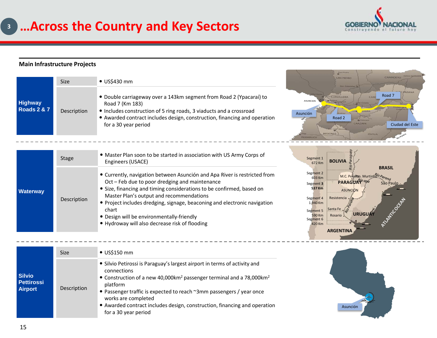

-----------

### **Main Infrastructure Projects**

|                                          | <b>Size</b> | $\bullet$ US\$430 mm                                                                                                                                                                                                                                               |                                                                   | <b>SAN PEDRO</b><br>Ban Estatevia                                      | CANINDEYU                                |
|------------------------------------------|-------------|--------------------------------------------------------------------------------------------------------------------------------------------------------------------------------------------------------------------------------------------------------------------|-------------------------------------------------------------------|------------------------------------------------------------------------|------------------------------------------|
| <b>Highway</b><br><b>Roads 2 &amp; 7</b> | Description | • Double carriageway over a 143km segment from Road 2 (Ypacaraí) to<br>Road 7 (Km 183)<br>• Includes construction of 5 ring roads, 3 viaducts and a crossroad<br>• Awarded contract includes design, construction, financing and operation<br>for a 30 year period | <b>ASUNCION</b><br>Asunción<br><b>MISIONES</b><br><b>NEEMBUCU</b> | CORDILLERA<br>CAAC<br>Road 2<br>6 Congraph<br>CAAZAPA<br><b>ITAPUA</b> | ALTO PARANA<br>Road 7<br>Ciudad del Este |
|                                          |             |                                                                                                                                                                                                                                                                    |                                                                   |                                                                        |                                          |

| Stage           |             | • Master Plan soon to be started in association with US Army Corps of<br>Engineers (USACE)                                                                                                                                                                                                                                                                                                                                            |
|-----------------|-------------|---------------------------------------------------------------------------------------------------------------------------------------------------------------------------------------------------------------------------------------------------------------------------------------------------------------------------------------------------------------------------------------------------------------------------------------|
| <b>Waterway</b> | Description | • Currently, navigation between Asunción and Apa River is restricted from<br>Oct - Feb due to poor dredging and maintenance<br>• Size, financing and timing considerations to be confirmed, based on<br>Master Plan's output and recommendations<br>• Project includes dredging, signage, beaconing and electronic navigation<br>chart<br>• Design will be environmentally-friendly<br>• Hydroway will also decrease risk of flooding |



|                                                      | <b>Size</b> | $\bullet$ US\$150 mm                                                                                                                                                                                                                                                                                                                                                                                     |  |  |
|------------------------------------------------------|-------------|----------------------------------------------------------------------------------------------------------------------------------------------------------------------------------------------------------------------------------------------------------------------------------------------------------------------------------------------------------------------------------------------------------|--|--|
| <b>Silvio</b><br><b>Pettirossi</b><br><b>Airport</b> | Description | • Silvio Petirossi is Paraguay's largest airport in terms of activity and<br>connections<br>• Construction of a new 40,000km <sup>2</sup> passenger terminal and a 78,000km <sup>2</sup><br>platform<br>• Passenger traffic is expected to reach ~3mm passengers / year once<br>works are completed<br>• Awarded contract includes design, construction, financing and operation<br>for a 30 year period |  |  |



 $\overline{\phantom{a}}$  $\overline{\phantom{a}}$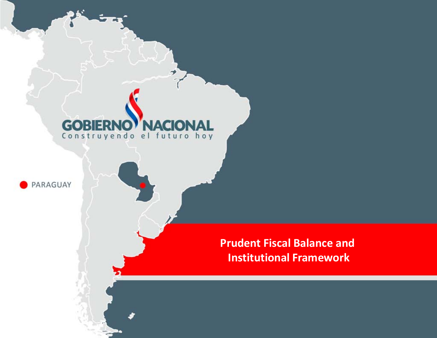### **GOB NACI** ER Construyendo el futuro hoy



**Prudent Fiscal Balance and Institutional Framework**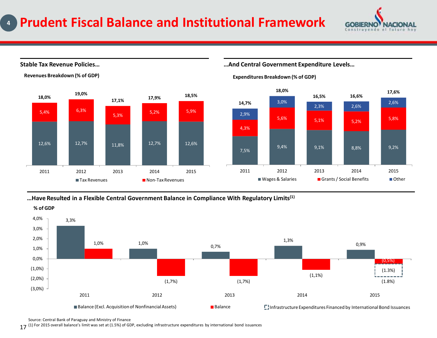

### **Stable Tax Revenue Policies…**



**Revenues Breakdown (% of GDP)**

### **…And Central Government Expenditure Levels…**



### **Expenditures Breakdown (% of GDP)**

### **…Have Resulted in a Flexible Central Government Balance in Compliance With Regulatory Limits(1)**



Source: Central Bank of Paraguay and Ministry of Finance

17 (1) For 2015 overall balance's limit was set at (1.5%) of GDP, excluding infrastructure expenditures by international bond issuances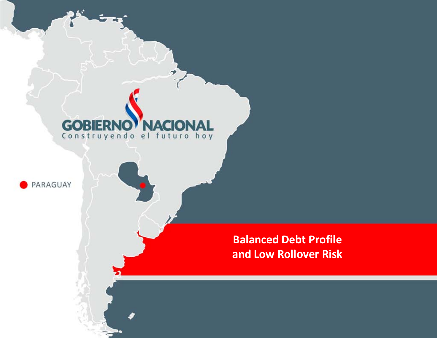### **GOB** ER **NACK** Construyendo el futuro hoy



**Balanced Debt Profile and Low Rollover Risk**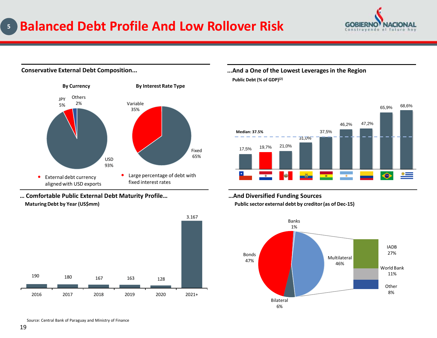### **Balanced Debt Profile And Low Rollover Risk 5**



### **Conservative External Debt Composition...**



**… Comfortable Public External Debt Maturity Profile… …And Diversified Funding Sources**



**...And a One of the Lowest Leverages in the Region Public Debt (% of GDP)(2)**





**Maturing Debt by Year (US\$mm) Public sector external debt by creditor (as of Dec-15)**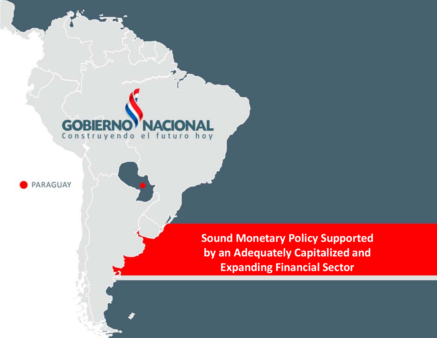## G Construyendo el futuro hoy



**Sound Monetary Policy Supported by an Adequately Capitalized and Expanding Financial Sector**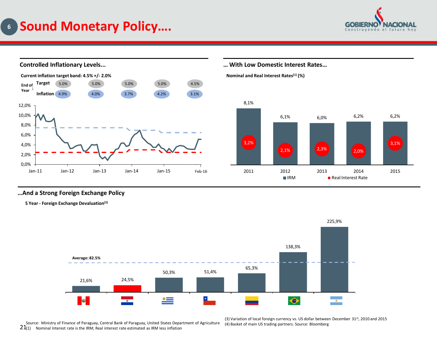



### **…And a Strong Foreign Exchange Policy**

**5 Year - Foreign Exchange Devaluation(3)**



21(1) Nominal Interest rate is the IRM; Real interest rate estimated as IRM less inflation Source: Ministry of Finance of Paraguay, Central Bank of Paraguay, United States Department of Agriculture

(3) Variation of local foreign currency vs. US dollar between December 31st, 2010 and 2015 (4) Basket of main US trading partners. Source: Bloomberg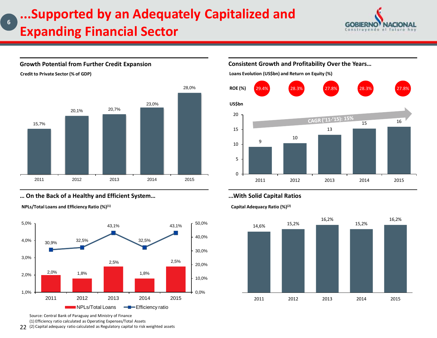# **...Supported by an Adequately Capitalized and Expanding Financial Sector**



### **Growth Potential from Further Credit Expansion**

**Credit to Private Sector (% of GDP)**

**6**



### **… On the Back of a Healthy and Efficient System… ...With Solid Capital Ratios**

**NPLs/Total Loans and Efficiency Ratio (%)(1) Capital Adequacy Ratio (%)(2)**



Source: Central Bank of Paraguay and Ministry of Finance (1) Efficiency ratio calculated as Operating Expenses/Total Assets

22 (2) Capital adequacy ratio calculated as Regulatory capital to risk weighted assets

**Consistent Growth and Profitability Over the Years…**

**Loans Evolution (US\$bn) and Return on Equity (%)**



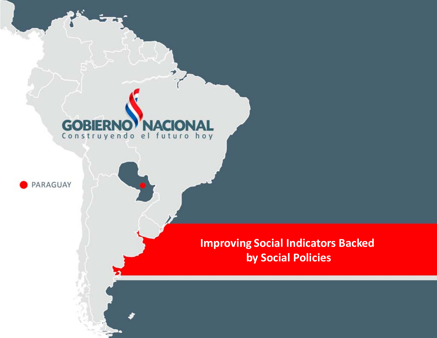### $\mathbf G$ VA ( ER  $\bullet$   $\mathbb{R}$ Construyendo el futuro hoy



**Improving Social Indicators Backed by Social Policies**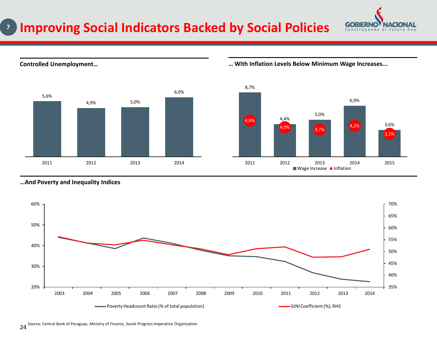



**Controlled Unemployment… … With Inflation Levels Below Minimum Wage Increases...**

**GOBIERNO** 



### **…And Poverty and Inequality Indices**

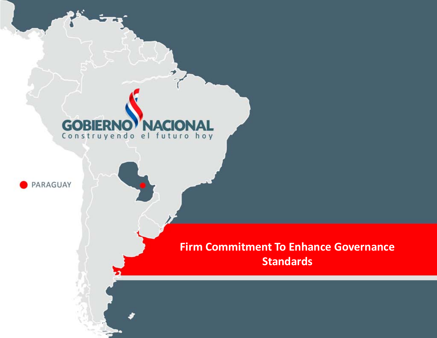# **GOBIERNO NACIONAL**



# **Firm Commitment To Enhance Governance Standards**